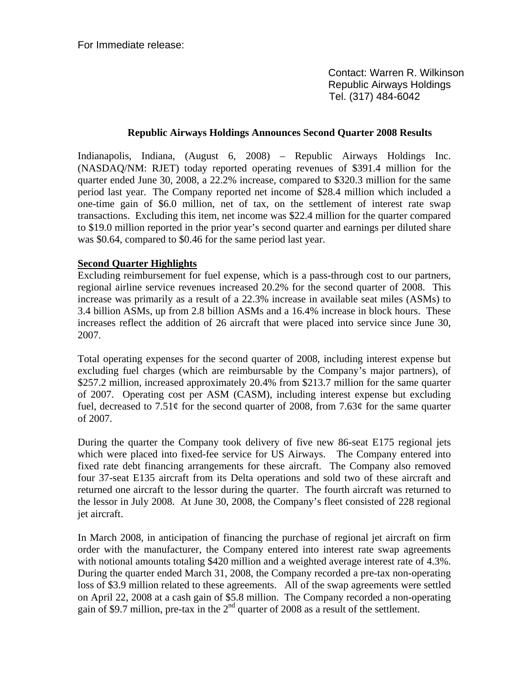For Immediate release:

 Contact: Warren R. Wilkinson Republic Airways Holdings Tel. (317) 484-6042

#### **Republic Airways Holdings Announces Second Quarter 2008 Results**

Indianapolis, Indiana, (August 6, 2008) – Republic Airways Holdings Inc. (NASDAQ/NM: RJET) today reported operating revenues of \$391.4 million for the quarter ended June 30, 2008, a 22.2% increase, compared to \$320.3 million for the same period last year. The Company reported net income of \$28.4 million which included a one-time gain of \$6.0 million, net of tax, on the settlement of interest rate swap transactions. Excluding this item, net income was \$22.4 million for the quarter compared to \$19.0 million reported in the prior year's second quarter and earnings per diluted share was \$0.64, compared to \$0.46 for the same period last year.

### **Second Quarter Highlights**

Excluding reimbursement for fuel expense, which is a pass-through cost to our partners, regional airline service revenues increased 20.2% for the second quarter of 2008. This increase was primarily as a result of a 22.3% increase in available seat miles (ASMs) to 3.4 billion ASMs, up from 2.8 billion ASMs and a 16.4% increase in block hours. These increases reflect the addition of 26 aircraft that were placed into service since June 30, 2007.

Total operating expenses for the second quarter of 2008, including interest expense but excluding fuel charges (which are reimbursable by the Company's major partners), of \$257.2 million, increased approximately 20.4% from \$213.7 million for the same quarter of 2007. Operating cost per ASM (CASM), including interest expense but excluding fuel, decreased to  $7.51\ell$  for the second quarter of 2008, from 7.63 $\ell$  for the same quarter of 2007.

During the quarter the Company took delivery of five new 86-seat E175 regional jets which were placed into fixed-fee service for US Airways. The Company entered into fixed rate debt financing arrangements for these aircraft. The Company also removed four 37-seat E135 aircraft from its Delta operations and sold two of these aircraft and returned one aircraft to the lessor during the quarter. The fourth aircraft was returned to the lessor in July 2008. At June 30, 2008, the Company's fleet consisted of 228 regional jet aircraft.

In March 2008, in anticipation of financing the purchase of regional jet aircraft on firm order with the manufacturer, the Company entered into interest rate swap agreements with notional amounts totaling \$420 million and a weighted average interest rate of 4.3%. During the quarter ended March 31, 2008, the Company recorded a pre-tax non-operating loss of \$3.9 million related to these agreements. All of the swap agreements were settled on April 22, 2008 at a cash gain of \$5.8 million. The Company recorded a non-operating gain of \$9.7 million, pre-tax in the  $2<sup>nd</sup>$  quarter of 2008 as a result of the settlement.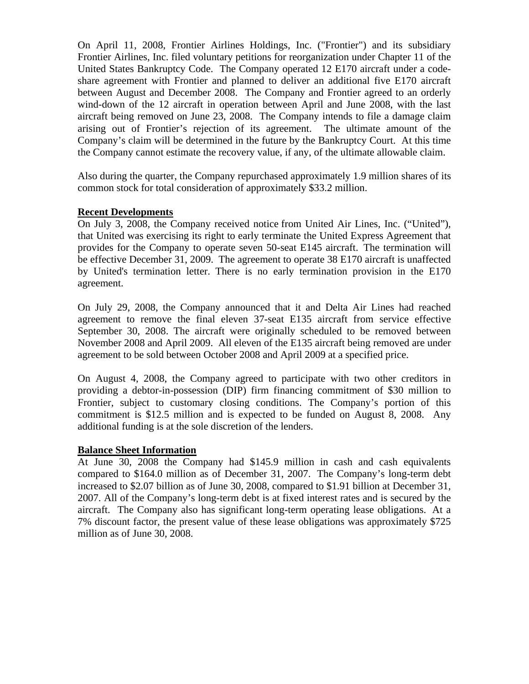On April 11, 2008, Frontier Airlines Holdings, Inc. ("Frontier") and its subsidiary Frontier Airlines, Inc. filed voluntary petitions for reorganization under Chapter 11 of the United States Bankruptcy Code. The Company operated 12 E170 aircraft under a codeshare agreement with Frontier and planned to deliver an additional five E170 aircraft between August and December 2008. The Company and Frontier agreed to an orderly wind-down of the 12 aircraft in operation between April and June 2008, with the last aircraft being removed on June 23, 2008. The Company intends to file a damage claim arising out of Frontier's rejection of its agreement. The ultimate amount of the Company's claim will be determined in the future by the Bankruptcy Court. At this time the Company cannot estimate the recovery value, if any, of the ultimate allowable claim.

Also during the quarter, the Company repurchased approximately 1.9 million shares of its common stock for total consideration of approximately \$33.2 million.

#### **Recent Developments**

On July 3, 2008, the Company received notice from United Air Lines, Inc. ("United"), that United was exercising its right to early terminate the United Express Agreement that provides for the Company to operate seven 50-seat E145 aircraft. The termination will be effective December 31, 2009. The agreement to operate 38 E170 aircraft is unaffected by United's termination letter. There is no early termination provision in the E170 agreement.

On July 29, 2008, the Company announced that it and Delta Air Lines had reached agreement to remove the final eleven 37-seat E135 aircraft from service effective September 30, 2008. The aircraft were originally scheduled to be removed between November 2008 and April 2009. All eleven of the E135 aircraft being removed are under agreement to be sold between October 2008 and April 2009 at a specified price.

On August 4, 2008, the Company agreed to participate with two other creditors in providing a debtor-in-possession (DIP) firm financing commitment of \$30 million to Frontier, subject to customary closing conditions. The Company's portion of this commitment is \$12.5 million and is expected to be funded on August 8, 2008. Any additional funding is at the sole discretion of the lenders.

#### **Balance Sheet Information**

At June 30, 2008 the Company had \$145.9 million in cash and cash equivalents compared to \$164.0 million as of December 31, 2007. The Company's long-term debt increased to \$2.07 billion as of June 30, 2008, compared to \$1.91 billion at December 31, 2007. All of the Company's long-term debt is at fixed interest rates and is secured by the aircraft. The Company also has significant long-term operating lease obligations. At a 7% discount factor, the present value of these lease obligations was approximately \$725 million as of June 30, 2008.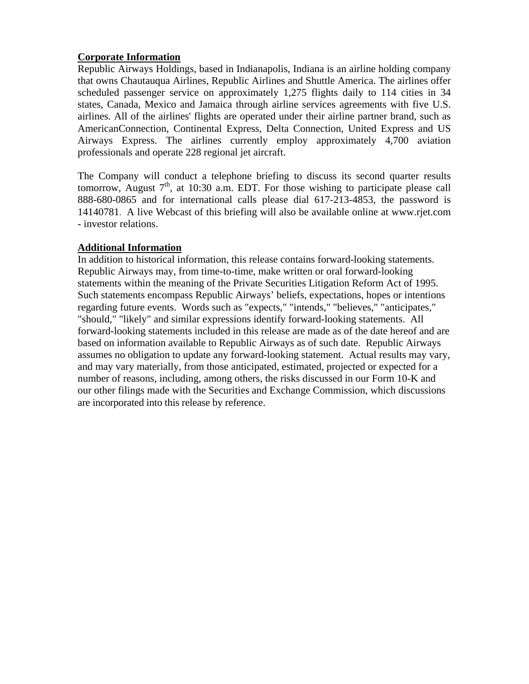## **Corporate Information**

Republic Airways Holdings, based in Indianapolis, Indiana is an airline holding company that owns Chautauqua Airlines, Republic Airlines and Shuttle America. The airlines offer scheduled passenger service on approximately 1,275 flights daily to 114 cities in 34 states, Canada, Mexico and Jamaica through airline services agreements with five U.S. airlines. All of the airlines' flights are operated under their airline partner brand, such as AmericanConnection, Continental Express, Delta Connection, United Express and US Airways Express. The airlines currently employ approximately 4,700 aviation professionals and operate 228 regional jet aircraft.

The Company will conduct a telephone briefing to discuss its second quarter results tomorrow, August  $7<sup>th</sup>$ , at 10:30 a.m. EDT. For those wishing to participate please call 888-680-0865 and for international calls please dial 617-213-4853, the password is 14140781. A live Webcast of this briefing will also be available online at www.rjet.com - investor relations.

### **Additional Information**

In addition to historical information, this release contains forward-looking statements. Republic Airways may, from time-to-time, make written or oral forward-looking statements within the meaning of the Private Securities Litigation Reform Act of 1995. Such statements encompass Republic Airways' beliefs, expectations, hopes or intentions regarding future events. Words such as "expects," "intends," "believes," "anticipates," "should," "likely" and similar expressions identify forward-looking statements. All forward-looking statements included in this release are made as of the date hereof and are based on information available to Republic Airways as of such date. Republic Airways assumes no obligation to update any forward-looking statement. Actual results may vary, and may vary materially, from those anticipated, estimated, projected or expected for a number of reasons, including, among others, the risks discussed in our Form 10-K and our other filings made with the Securities and Exchange Commission, which discussions are incorporated into this release by reference.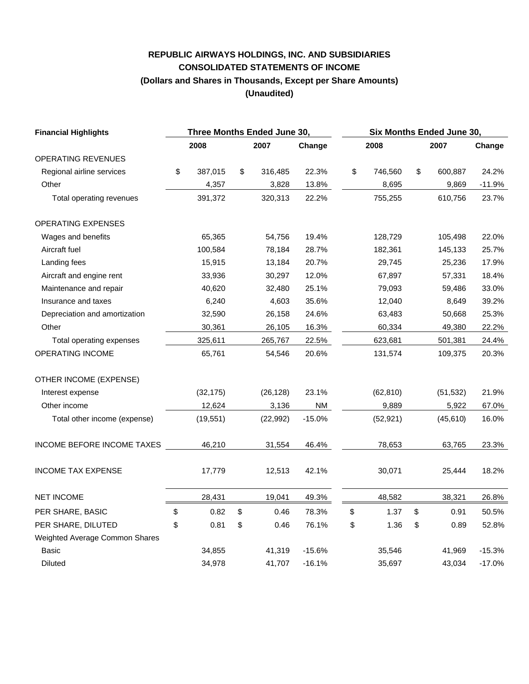# **REPUBLIC AIRWAYS HOLDINGS, INC. AND SUBSIDIARIES CONSOLIDATED STATEMENTS OF INCOME (Dollars and Shares in Thousands, Except per Share Amounts) (Unaudited)**

| <b>Financial Highlights</b>    | Three Months Ended June 30, |           |    |           |                        |    | Six Months Ended June 30, |    |           |          |  |  |
|--------------------------------|-----------------------------|-----------|----|-----------|------------------------|----|---------------------------|----|-----------|----------|--|--|
|                                |                             | 2008      |    | 2007      | Change                 |    | 2008                      |    | 2007      | Change   |  |  |
| OPERATING REVENUES             |                             |           |    |           |                        |    |                           |    |           |          |  |  |
| Regional airline services      | \$                          | 387,015   | \$ | 316,485   | 22.3%                  | \$ | 746,560                   | \$ | 600,887   | 24.2%    |  |  |
| Other                          |                             | 4,357     |    | 3,828     | 13.8%                  |    | 8,695                     |    | 9,869     | $-11.9%$ |  |  |
| Total operating revenues       |                             | 391,372   |    | 320,313   | 22.2%                  |    | 755,255                   |    | 610,756   | 23.7%    |  |  |
| <b>OPERATING EXPENSES</b>      |                             |           |    |           |                        |    |                           |    |           |          |  |  |
| Wages and benefits             |                             | 65,365    |    | 54,756    | 19.4%                  |    | 128,729                   |    | 105,498   | 22.0%    |  |  |
| Aircraft fuel                  |                             | 100,584   |    | 78,184    | 28.7%                  |    | 182,361                   |    | 145,133   | 25.7%    |  |  |
| Landing fees                   |                             | 15,915    |    | 13,184    | 20.7%                  |    | 29,745                    |    | 25,236    | 17.9%    |  |  |
| Aircraft and engine rent       |                             | 33,936    |    | 30,297    | 12.0%                  |    | 67,897                    |    | 57,331    | 18.4%    |  |  |
| Maintenance and repair         |                             | 40,620    |    | 32,480    | 25.1%                  |    | 79,093                    |    | 59,486    | 33.0%    |  |  |
| Insurance and taxes            |                             | 6,240     |    | 4,603     | 35.6%                  |    | 12,040                    |    | 8,649     | 39.2%    |  |  |
| Depreciation and amortization  |                             | 32,590    |    | 26,158    | 24.6%                  |    | 63,483                    |    | 50,668    | 25.3%    |  |  |
| Other                          |                             | 30,361    |    | 26,105    | 16.3%                  |    | 60,334                    |    | 49,380    | 22.2%    |  |  |
| Total operating expenses       |                             | 325,611   |    | 265,767   | 22.5%                  |    | 623,681                   |    | 501,381   | 24.4%    |  |  |
| OPERATING INCOME               |                             | 65,761    |    | 54,546    | 20.6%                  |    | 131,574                   |    | 109,375   | 20.3%    |  |  |
| OTHER INCOME (EXPENSE)         |                             |           |    |           |                        |    |                           |    |           |          |  |  |
| Interest expense               |                             | (32, 175) |    | (26, 128) | 23.1%                  |    | (62, 810)                 |    | (51, 532) | 21.9%    |  |  |
| Other income                   |                             | 12,624    |    | 3,136     | $\mathsf{N}\mathsf{M}$ |    | 9,889                     |    | 5,922     | 67.0%    |  |  |
| Total other income (expense)   |                             | (19, 551) |    | (22, 992) | $-15.0%$               |    | (52, 921)                 |    | (45, 610) | 16.0%    |  |  |
| INCOME BEFORE INCOME TAXES     |                             | 46,210    |    | 31,554    | 46.4%                  |    | 78,653                    |    | 63,765    | 23.3%    |  |  |
| <b>INCOME TAX EXPENSE</b>      |                             | 17,779    |    | 12,513    | 42.1%                  |    | 30,071                    |    | 25,444    | 18.2%    |  |  |
| <b>NET INCOME</b>              |                             | 28,431    |    | 19,041    | 49.3%                  |    | 48,582                    |    | 38,321    | 26.8%    |  |  |
| PER SHARE, BASIC               | \$                          | 0.82      | \$ | 0.46      | 78.3%                  | \$ | 1.37                      | \$ | 0.91      | 50.5%    |  |  |
| PER SHARE, DILUTED             | \$                          | 0.81      | \$ | 0.46      | 76.1%                  | \$ | 1.36                      | \$ | 0.89      | 52.8%    |  |  |
| Weighted Average Common Shares |                             |           |    |           |                        |    |                           |    |           |          |  |  |
| Basic                          |                             | 34,855    |    | 41,319    | $-15.6%$               |    | 35,546                    |    | 41,969    | $-15.3%$ |  |  |
| <b>Diluted</b>                 |                             | 34,978    |    | 41,707    | $-16.1%$               |    | 35,697                    |    | 43,034    | $-17.0%$ |  |  |